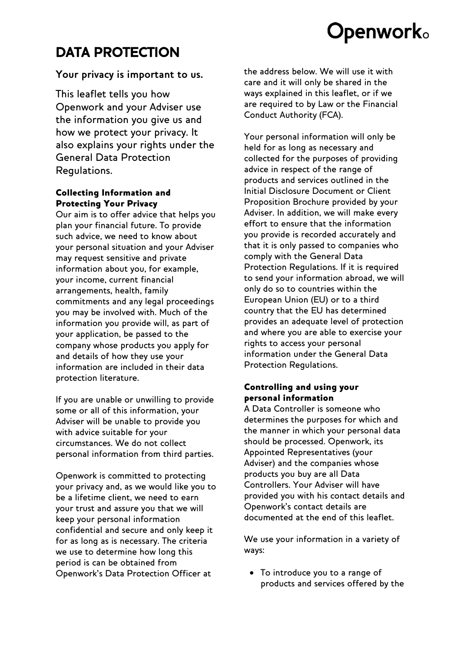# **Openwork**。

# **DATA PROTECTION**

# **Your privacy is important to us.**

This leaflet tells you how Openwork and your Adviser use the information you give us and how we protect your privacy. It also explains your rights under the General Data Protection Regulations.

## Collecting Information and Protecting Your Privacy

Our aim is to offer advice that helps you plan your financial future. To provide such advice, we need to know about your personal situation and your Adviser may request sensitive and private information about you, for example, your income, current financial arrangements, health, family commitments and any legal proceedings you may be involved with. Much of the information you provide will, as part of your application, be passed to the company whose products you apply for and details of how they use your information are included in their data protection literature.

If you are unable or unwilling to provide some or all of this information, your Adviser will be unable to provide you with advice suitable for your circumstances. We do not collect personal information from third parties.

Openwork is committed to protecting your privacy and, as we would like you to be a lifetime client, we need to earn your trust and assure you that we will keep your personal information confidential and secure and only keep it for as long as is necessary. The criteria we use to determine how long this period is can be obtained from Openwork's Data Protection Officer at

the address below. We will use it with care and it will only be shared in the ways explained in this leaflet, or if we are required to by Law or the Financial Conduct Authority (FCA).

Your personal information will only be held for as long as necessary and collected for the purposes of providing advice in respect of the range of products and services outlined in the Initial Disclosure Document or Client Proposition Brochure provided by your Adviser. In addition, we will make every effort to ensure that the information you provide is recorded accurately and that it is only passed to companies who comply with the General Data Protection Regulations. If it is required to send your information abroad, we will only do so to countries within the European Union (EU) or to a third country that the EU has determined provides an adequate level of protection and where you are able to exercise your rights to access your personal information under the General Data Protection Regulations.

# Controlling and using your personal information

A Data Controller is someone who determines the purposes for which and the manner in which your personal data should be processed. Openwork, its Appointed Representatives (your Adviser) and the companies whose products you buy are all Data Controllers. Your Adviser will have provided you with his contact details and Openwork's contact details are documented at the end of this leaflet.

We use your information in a variety of ways:

• To introduce you to a range of products and services offered by the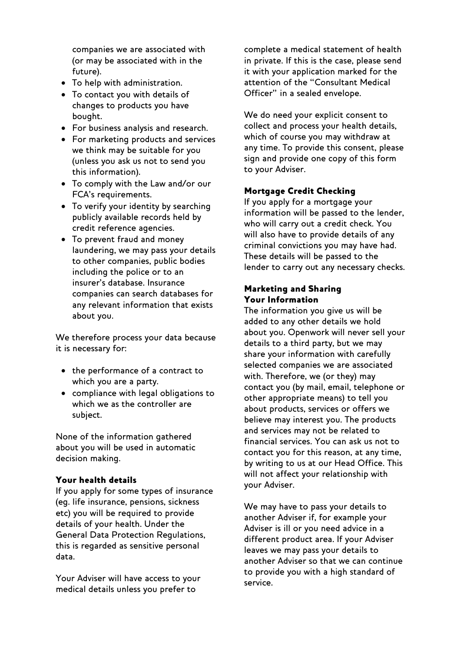companies we are associated with (or may be associated with in the future).

- To help with administration.
- To contact you with details of changes to products you have bought.
- For business analysis and research.
- For marketing products and services we think may be suitable for you (unless you ask us not to send you this information).
- To comply with the Law and/or our FCA's requirements.
- To verify your identity by searching publicly available records held by credit reference agencies.
- To prevent fraud and money laundering, we may pass your details to other companies, public bodies including the police or to an insurer's database. Insurance companies can search databases for any relevant information that exists about you.

We therefore process your data because it is necessary for:

- the performance of a contract to which you are a party.
- compliance with legal obligations to which we as the controller are subject.

None of the information gathered about you will be used in automatic decision making.

#### Your health details

If you apply for some types of insurance (eg. life insurance, pensions, sickness etc) you will be required to provide details of your health. Under the General Data Protection Regulations, this is regarded as sensitive personal data.

Your Adviser will have access to your medical details unless you prefer to

complete a medical statement of health in private. If this is the case, please send it with your application marked for the attention of the "Consultant Medical Officer" in a sealed envelope.

We do need your explicit consent to collect and process your health details, which of course you may withdraw at any time. To provide this consent, please sign and provide one copy of this form to your Adviser.

#### Mortgage Credit Checking

If you apply for a mortgage your information will be passed to the lender, who will carry out a credit check. You will also have to provide details of any criminal convictions you may have had. These details will be passed to the lender to carry out any necessary checks.

#### Marketing and Sharing Your Information

The information you give us will be added to any other details we hold about you. Openwork will never sell your details to a third party, but we may share your information with carefully selected companies we are associated with. Therefore, we (or they) may contact you (by mail, email, telephone or other appropriate means) to tell you about products, services or offers we believe may interest you. The products and services may not be related to financial services. You can ask us not to contact you for this reason, at any time, by writing to us at our Head Office. This will not affect your relationship with your Adviser.

We may have to pass your details to another Adviser if, for example your Adviser is ill or you need advice in a different product area. If your Adviser leaves we may pass your details to another Adviser so that we can continue to provide you with a high standard of service.